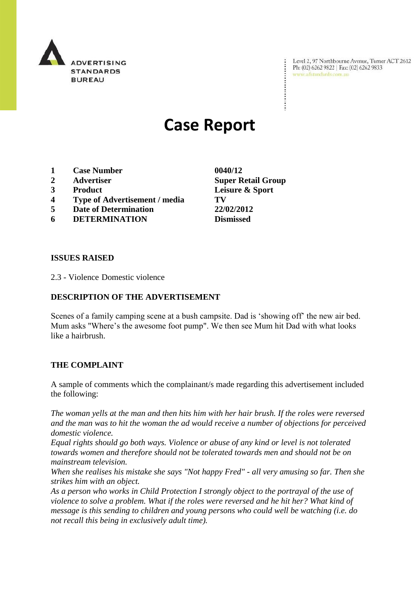

Level 2, 97 Northbourne Avenue, Turner ACT 2612 Ph: (02) 6262 9822 | Fax: (02) 6262 9833 www.adstandards.com.au

# **Case Report**

- **1 Case Number 0040/12**
- 
- 
- **4 Type of Advertisement / media TV**
- **5 Date of Determination 22/02/2012**
- **6 DETERMINATION Dismissed**

**ISSUES RAISED**

2.3 - Violence Domestic violence

#### **DESCRIPTION OF THE ADVERTISEMENT**

Scenes of a family camping scene at a bush campsite. Dad is "showing off" the new air bed. Mum asks "Where's the awesome foot pump". We then see Mum hit Dad with what looks like a hairbrush.

#### **THE COMPLAINT**

A sample of comments which the complainant/s made regarding this advertisement included the following:

*The woman yells at the man and then hits him with her hair brush. If the roles were reversed and the man was to hit the woman the ad would receive a number of objections for perceived domestic violence.*

*Equal rights should go both ways. Violence or abuse of any kind or level is not tolerated towards women and therefore should not be tolerated towards men and should not be on mainstream television.*

*When she realises his mistake she says "Not happy Fred" - all very amusing so far. Then she strikes him with an object.*

*As a person who works in Child Protection I strongly object to the portrayal of the use of violence to solve a problem. What if the roles were reversed and he hit her? What kind of message is this sending to children and young persons who could well be watching (i.e. do not recall this being in exclusively adult time).*

**2 Advertiser Super Retail Group 3 Product Leisure & Sport**

 $\ddot{\cdot}$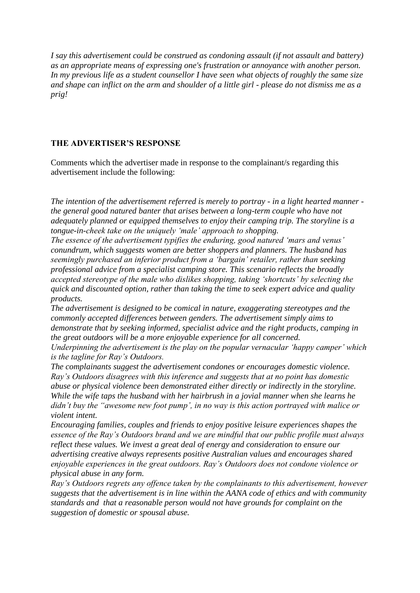*I say this advertisement could be construed as condoning assault (if not assault and battery) as an appropriate means of expressing one's frustration or annoyance with another person. In my previous life as a student counsellor I have seen what objects of roughly the same size and shape can inflict on the arm and shoulder of a little girl - please do not dismiss me as a prig!*

## **THE ADVERTISER'S RESPONSE**

Comments which the advertiser made in response to the complainant/s regarding this advertisement include the following:

*The intention of the advertisement referred is merely to portray - in a light hearted manner the general good natured banter that arises between a long-term couple who have not adequately planned or equipped themselves to enjoy their camping trip. The storyline is a tongue-in-cheek take on the uniquely 'male' approach to shopping.*

*The essence of the advertisement typifies the enduring, good natured 'mars and venus' conundrum, which suggests women are better shoppers and planners. The husband has seemingly purchased an inferior product from a 'bargain' retailer, rather than seeking professional advice from a specialist camping store. This scenario reflects the broadly accepted stereotype of the male who dislikes shopping, taking 'shortcuts' by selecting the quick and discounted option, rather than taking the time to seek expert advice and quality products.* 

*The advertisement is designed to be comical in nature, exaggerating stereotypes and the commonly accepted differences between genders. The advertisement simply aims to demonstrate that by seeking informed, specialist advice and the right products, camping in the great outdoors will be a more enjoyable experience for all concerned.* 

*Underpinning the advertisement is the play on the popular vernacular 'happy camper' which is the tagline for Ray's Outdoors.*

*The complainants suggest the advertisement condones or encourages domestic violence. Ray's Outdoors disagrees with this inference and suggests that at no point has domestic abuse or physical violence been demonstrated either directly or indirectly in the storyline. While the wife taps the husband with her hairbrush in a jovial manner when she learns he didn't buy the "awesome new foot pump', in no way is this action portrayed with malice or violent intent.* 

*Encouraging families, couples and friends to enjoy positive leisure experiences shapes the essence of the Ray's Outdoors brand and we are mindful that our public profile must always reflect these values. We invest a great deal of energy and consideration to ensure our advertising creative always represents positive Australian values and encourages shared enjoyable experiences in the great outdoors. Ray's Outdoors does not condone violence or physical abuse in any form.*

*Ray's Outdoors regrets any offence taken by the complainants to this advertisement, however suggests that the advertisement is in line within the AANA code of ethics and with community standards and that a reasonable person would not have grounds for complaint on the suggestion of domestic or spousal abuse.*